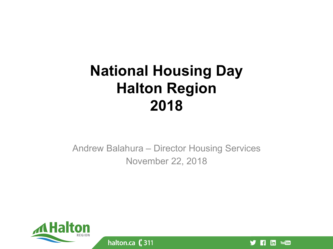#### **National Housing Day Halton Region 2018**

Andrew Balahura – Director Housing Services November 22, 2018



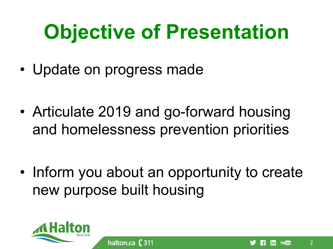## **Objective of Presentation**

• Update on progress made

• Articulate 2019 and go-forward housing and homelessness prevention priorities

• Inform you about an opportunity to create new purpose built housing

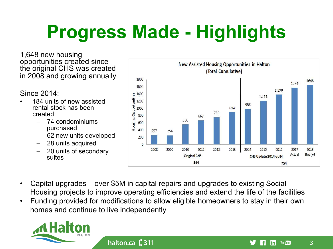## **Progress Made - Highlights**

1,648 new housing opportunities created since the original CHS was created in 2008 and growing annually

Since 2014:

- 184 units of new assisted rental stock has been created:
	- 74 condominiums purchased
	- 62 new units developed
	- 28 units acquired
	- 20 units of secondary suites



- Capital upgrades over \$5M in capital repairs and upgrades to existing Social Housing projects to improve operating efficiencies and extend the life of the facilities
- Funding provided for modifications to allow eligible homeowners to stay in their own homes and continue to live independently

halton.ca $\left($  311



3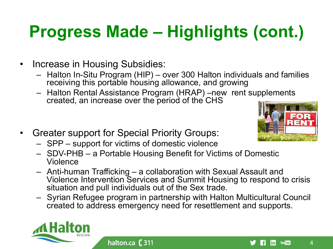### **Progress Made – Highlights (cont.)**

- Increase in Housing Subsidies:
	- Halton In-Situ Program (HIP) over 300 Halton individuals and families receiving this portable housing allowance, and growing
	- Halton Rental Assistance Program (HRAP) –new rent supplements created, an increase over the period of the CHS
- Greater support for Special Priority Groups:
	- SPP support for victims of domestic violence

halton.ca (311

- SDV-PHB a Portable Housing Benefit for Victims of Domestic Violence
- Anti-human Trafficking a collaboration with Sexual Assault and Violence Intervention Services and Summit Housing to respond to crisis situation and pull individuals out of the Sex trade.
- Syrian Refugee program in partnership with Halton Multicultural Council created to address emergency need for resettlement and supports.





 $\Delta$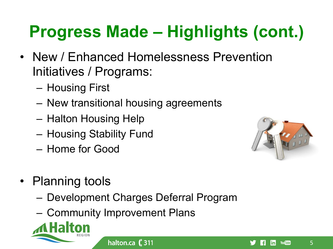### **Progress Made – Highlights (cont.)**

- New / Enhanced Homelessness Prevention Initiatives / Programs:
	- Housing First
	- New transitional housing agreements
	- Halton Housing Help
	- Housing Stability Fund
	- Home for Good



- Planning tools
	- Development Charges Deferral Program
	- Community Improvement Plans



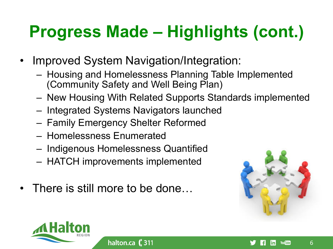### **Progress Made – Highlights (cont.)**

- Improved System Navigation/Integration:
	- Housing and Homelessness Planning Table Implemented (Community Safety and Well Being Plan)
	- New Housing With Related Supports Standards implemented
	- Integrated Systems Navigators launched
	- Family Emergency Shelter Reformed
	- Homelessness Enumerated
	- Indigenous Homelessness Quantified
	- HATCH improvements implemented
- There is still more to be done...



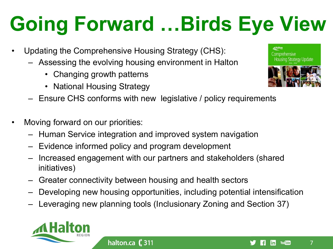# **Going Forward …Birds Eye View**

- Updating the Comprehensive Housing Strategy (CHS):
	- Assessing the evolving housing environment in Halton
		- Changing growth patterns
		- National Housing Strategy
	- Ensure CHS conforms with new legislative / policy requirements
- Moving forward on our priorities:
	- Human Service integration and improved system navigation
	- Evidence informed policy and program development

halton.ca ( 311

- Increased engagement with our partners and stakeholders (shared initiatives)
- Greater connectivity between housing and health sectors
- Developing new housing opportunities, including potential intensification
- Leveraging new planning tools (Inclusionary Zoning and Section 37)





**Housing Strategy Update** 



7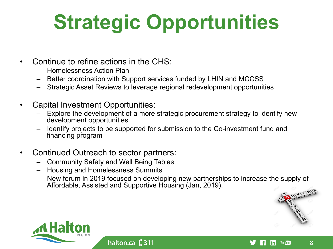# **Strategic Opportunities**

- Continue to refine actions in the CHS:
	- Homelessness Action Plan
	- Better coordination with Support services funded by LHIN and MCCSS
	- Strategic Asset Reviews to leverage regional redevelopment opportunities
- Capital Investment Opportunities:
	- Explore the development of a more strategic procurement strategy to identify new development opportunities
	- Identify projects to be supported for submission to the Co-investment fund and financing program
- Continued Outreach to sector partners:
	- Community Safety and Well Being Tables

- Housing and Homelessness Summits
- New forum in 2019 focused on developing new partnerships to increase the supply of Affordable, Assisted and Supportive Housing (Jan, 2019).



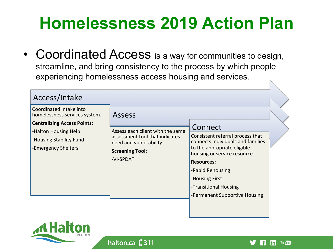#### **Homelessness 2019 Action Plan**

• Coordinated Access is a way for communities to design, streamline, and bring consistency to the process by which people experiencing homelessness access housing and services.

| Access/Intake                                                                                                                                                            |                                                                                                                                                       |                                                                                                                                                                                                                                                                      |  |
|--------------------------------------------------------------------------------------------------------------------------------------------------------------------------|-------------------------------------------------------------------------------------------------------------------------------------------------------|----------------------------------------------------------------------------------------------------------------------------------------------------------------------------------------------------------------------------------------------------------------------|--|
| Coordinated intake into<br>homelessness services system.<br><b>Centralizing Access Points:</b><br>-Halton Housing Help<br>-Housing Stability Fund<br>-Emergency Shelters | <b>Assess</b><br>Assess each client with the same<br>assessment tool that indicates<br>need and vulnerability.<br><b>Screening Tool:</b><br>-VI-SPDAT | Connect<br>Consistent referral process that<br>connects individuals and families<br>to the appropriate eligible<br>housing or service resource.<br><b>Resources:</b><br>-Rapid Rehousing<br>-Housing First<br>-Transitional Housing<br>-Permanent Supportive Housing |  |
|                                                                                                                                                                          |                                                                                                                                                       |                                                                                                                                                                                                                                                                      |  |



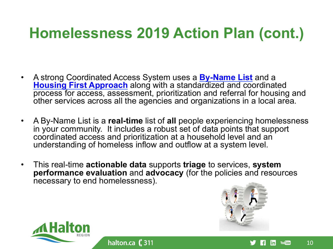#### **Homelessness 2019 Action Plan (cont.)**

- A strong Coordinated Access System uses a **By-Name List** and a **Housing First Approach** along with a standardized and coordinated process for access, assessment, prioritization and referral for housing and other services across all the agencies and organizations in a local area.
- A By-Name List is a **real-time** list of **all** people experiencing homelessness in your community. It includes a robust set of data points that support coordinated access and prioritization at a household level and an understanding of homeless inflow and outflow at a system level.
- This real-time **actionable data** supports **triage** to services, **system performance evaluation** and **advocacy** (for the policies and resources necessary to end homelessness).

halton.ca $\left($  311



linl

**You Tube** 

10 

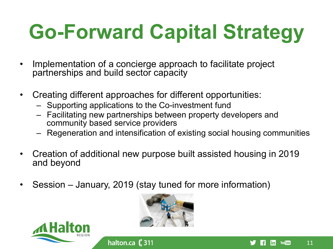# **Go-Forward Capital Strategy**

- Implementation of a concierge approach to facilitate project partnerships and build sector capacity
- Creating different approaches for different opportunities:
	- Supporting applications to the Co-investment fund
	- Facilitating new partnerships between property developers and community based service providers
	- Regeneration and intensification of existing social housing communities
- Creation of additional new purpose built assisted housing in 2019 and beyond
- Session January, 2019 (stay tuned for more information)

halton.ca ( 311





11 

**You Tube** 

|in|